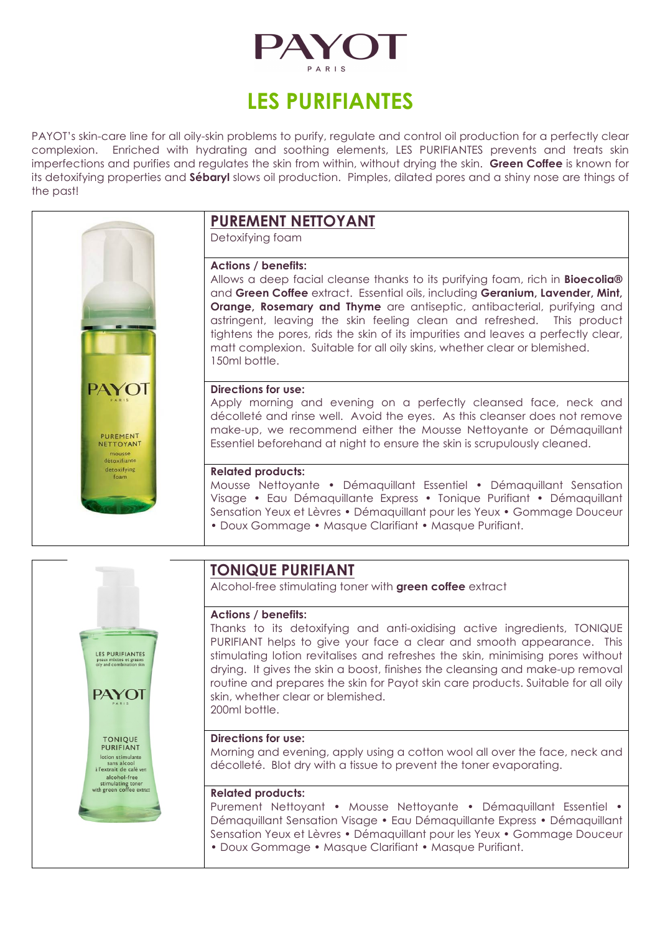

# **LES PURIFIANTES**

PAYOT's skin-care line for all oily-skin problems to purify, regulate and control oil production for a perfectly clear complexion. Enriched with hydrating and soothing elements, LES PURIFIANTES prevents and treats skin imperfections and purifies and regulates the skin from within, without drying the skin. **Green Coffee** is known for its detoxifying properties and **Sébaryl** slows oil production. Pimples, dilated pores and a shiny nose are things of the past!



## **PUREMENT NETTOYANT**

Detoxifying foam

#### **Actions / benefits:**

Allows a deep facial cleanse thanks to its purifying foam, rich in **Bioecolia®** and **Green Coffee** extract. Essential oils, including **Geranium, Lavender, Mint, Orange, Rosemary and Thyme** are antiseptic, antibacterial, purifying and astringent, leaving the skin feeling clean and refreshed. This product tightens the pores, rids the skin of its impurities and leaves a perfectly clear, matt complexion. Suitable for all oily skins, whether clear or blemished. 150ml bottle.

#### **Directions for use:**

Apply morning and evening on a perfectly cleansed face, neck and décolleté and rinse well. Avoid the eyes. As this cleanser does not remove make-up, we recommend either the Mousse Nettoyante or Démaquillant Essentiel beforehand at night to ensure the skin is scrupulously cleaned.

#### **Related products:**

Mousse Nettoyante • Démaquillant Essentiel • Démaquillant Sensation Visage • Eau Démaquillante Express • Tonique Purifiant • Démaquillant Sensation Yeux et Lèvres • Démaquillant pour les Yeux • Gommage Douceur • Doux Gommage • Masque Clarifiant • Masque Purifiant.



### **TONIQUE PURIFIANT**

Alcohol-free stimulating toner with **green coffee** extract

### **Actions / benefits:**

Thanks to its detoxifying and anti-oxidising active ingredients, TONIQUE PURIFIANT helps to give your face a clear and smooth appearance. This stimulating lotion revitalises and refreshes the skin, minimising pores without drying. It gives the skin a boost, finishes the cleansing and make-up removal routine and prepares the skin for Payot skin care products. Suitable for all oily skin, whether clear or blemished. 200ml bottle.

#### **Directions for use:**

Morning and evening, apply using a cotton wool all over the face, neck and décolleté. Blot dry with a tissue to prevent the toner evaporating.

#### **Related products:**

Purement Nettoyant • Mousse Nettoyante • Démaquillant Essentiel • Démaquillant Sensation Visage • Eau Démaquillante Express • Démaquillant Sensation Yeux et Lèvres • Démaquillant pour les Yeux • Gommage Douceur • Doux Gommage • Masque Clarifiant • Masque Purifiant.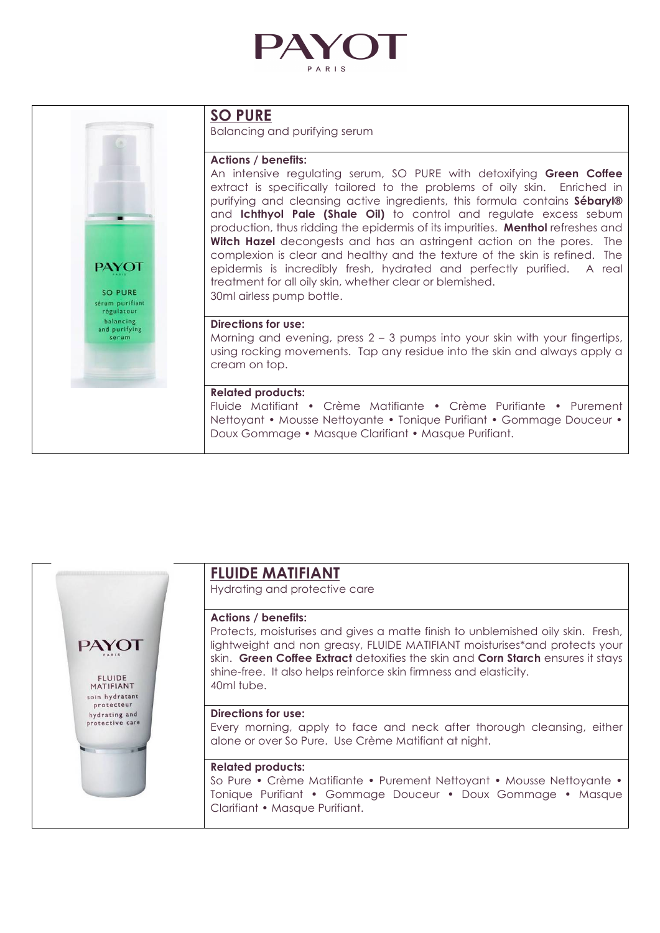



### **SO PURE**

Balancing and purifying serum

#### **Actions / benefits:**

An intensive regulating serum, SO PURE with detoxifying **Green Coffee**  extract is specifically tailored to the problems of oily skin. Enriched in purifying and cleansing active ingredients, this formula contains **Sébaryl®**  and **Ichthyol Pale (Shale Oil)** to control and regulate excess sebum production, thus ridding the epidermis of its impurities. **Menthol** refreshes and **Witch Hazel** decongests and has an astringent action on the pores. The complexion is clear and healthy and the texture of the skin is refined. The epidermis is incredibly fresh, hydrated and perfectly purified. A real treatment for all oily skin, whether clear or blemished. 30ml airless pump bottle.

#### **Directions for use:**

Morning and evening, press 2 – 3 pumps into your skin with your fingertips, using rocking movements. Tap any residue into the skin and always apply a cream on top.

#### **Related products:**

Fluide Matifiant • Crème Matifiante • Crème Purifiante • Purement Nettoyant • Mousse Nettoyante • Tonique Purifiant • Gommage Douceur • Doux Gommage • Masque Clarifiant • Masque Purifiant.



### **FLUIDE MATIFIANT**

Hydrating and protective care

#### **Actions / benefits:**

Protects, moisturises and gives a matte finish to unblemished oily skin. Fresh, lightweight and non greasy, FLUIDE MATIFIANT moisturises\*and protects your skin. **Green Coffee Extract** detoxifies the skin and **Corn Starch** ensures it stays shine-free. It also helps reinforce skin firmness and elasticity. 40ml tube.

#### **Directions for use:**

Every morning, apply to face and neck after thorough cleansing, either alone or over So Pure. Use Crème Matifiant at night.

#### **Related products:**

So Pure • Crème Matifiante • Purement Nettoyant • Mousse Nettoyante • Tonique Purifiant • Gommage Douceur • Doux Gommage • Masque Clarifiant • Masque Purifiant.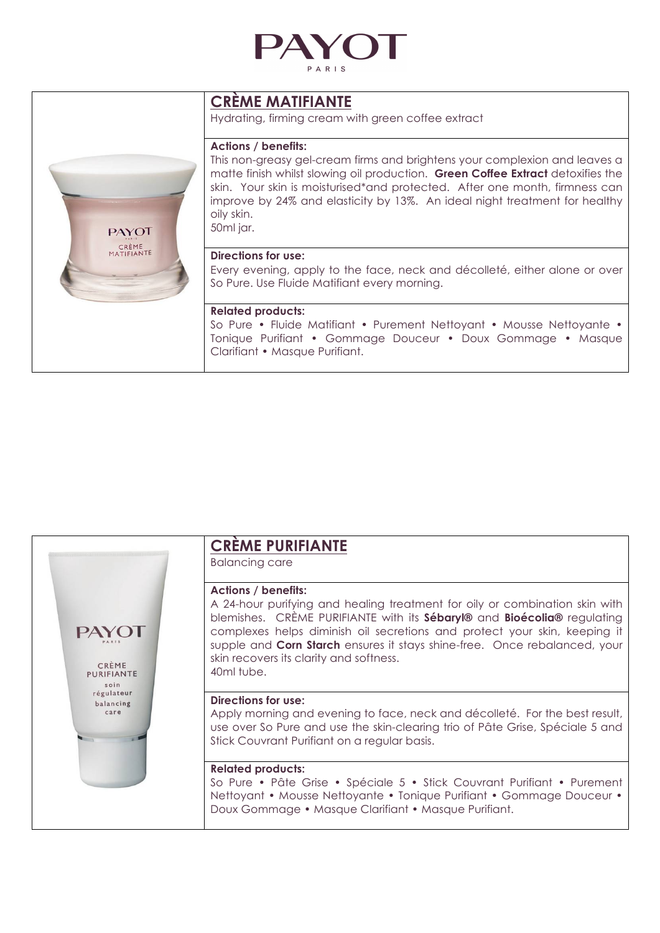

### **CRÈME MATIFIANTE**

Hydrating, firming cream with green coffee extract

#### **Actions / benefits:**

This non-greasy gel-cream firms and brightens your complexion and leaves a matte finish whilst slowing oil production. **Green Coffee Extract** detoxifies the skin. Your skin is moisturised\*and protected. After one month, firmness can improve by 24% and elasticity by 13%. An ideal night treatment for healthy oily skin. 50ml jar.

#### **Directions for use:**

Every evening, apply to the face, neck and décolleté, either alone or over So Pure. Use Fluide Matifiant every morning.

#### **Related products:**

So Pure • Fluide Matifiant • Purement Nettoyant • Mousse Nettoyante • Tonique Purifiant • Gommage Douceur • Doux Gommage • Masque Clarifiant • Masque Purifiant.



### **CRÈME PURIFIANTE**

Balancing care

#### **Actions / benefits:**

A 24-hour purifying and healing treatment for oily or combination skin with blemishes. CRÈME PURIFIANTE with its **Sébaryl®** and **Bioécolia®** regulating complexes helps diminish oil secretions and protect your skin, keeping it supple and **Corn Starch** ensures it stays shine-free. Once rebalanced, your skin recovers its clarity and softness. 40ml tube.

#### **Directions for use:**

Apply morning and evening to face, neck and décolleté. For the best result, use over So Pure and use the skin-clearing trio of Pâte Grise, Spéciale 5 and Stick Couvrant Purifiant on a regular basis.

#### **Related products:**

So Pure • Pâte Grise • Spéciale 5 • Stick Couvrant Purifiant • Purement Nettoyant • Mousse Nettoyante • Tonique Purifiant • Gommage Douceur • Doux Gommage • Masque Clarifiant • Masque Purifiant.